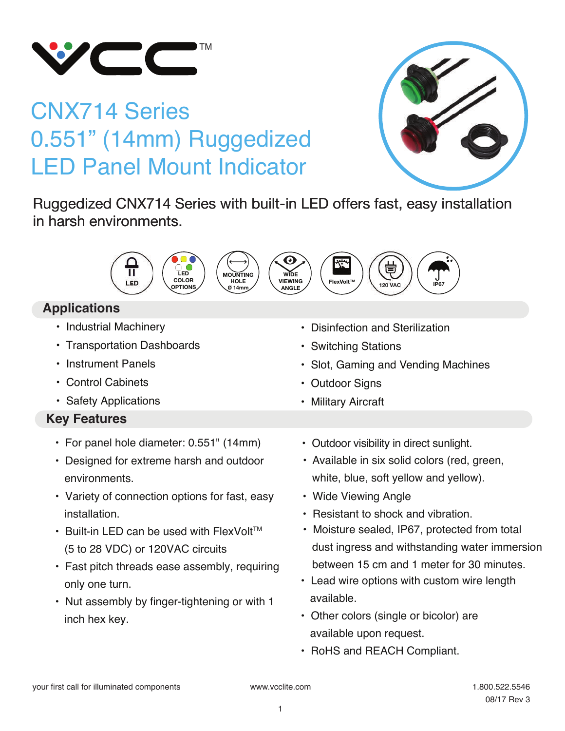

# CNX714 Series 0.551" (14mm) Ruggedized LED Panel Mount Indicator



Ruggedized CNX714 Series with built-in LED offers fast, easy installation in harsh environments.



# **Applications**

- Industrial Machinery
- Transportation Dashboards
- Instrument Panels
- Control Cabinets
- Safety Applications

# **Key Features**

- For panel hole diameter: 0.551" (14mm)
- Designed for extreme harsh and outdoor environments.
- Variety of connection options for fast, easy installation.
- $\cdot$  Built-in LED can be used with FlexVolt<sup>TM</sup> (5 to 28 VDC) or 120VAC circuits
- Fast pitch threads ease assembly, requiring only one turn.
- Nut assembly by finger-tightening or with 1 inch hex key.

• Disinfection and Sterilization

• Switching Stations

• Outdoor Signs • Military Aircraft

• Available in six solid colors (red, green, • Outdoor visibility in direct sunlight.

• Slot, Gaming and Vending Machines

- white, blue, soft yellow and yellow).
- Wide Viewing Angle
- Resistant to shock and vibration.
- Moisture sealed, IP67, protected from total dust ingress and withstanding water immersion between 15 cm and 1 meter for 30 minutes.
- Lead wire options with custom wire length available.
- Other colors (single or bicolor) are available upon request.
- RoHS and REACH Compliant.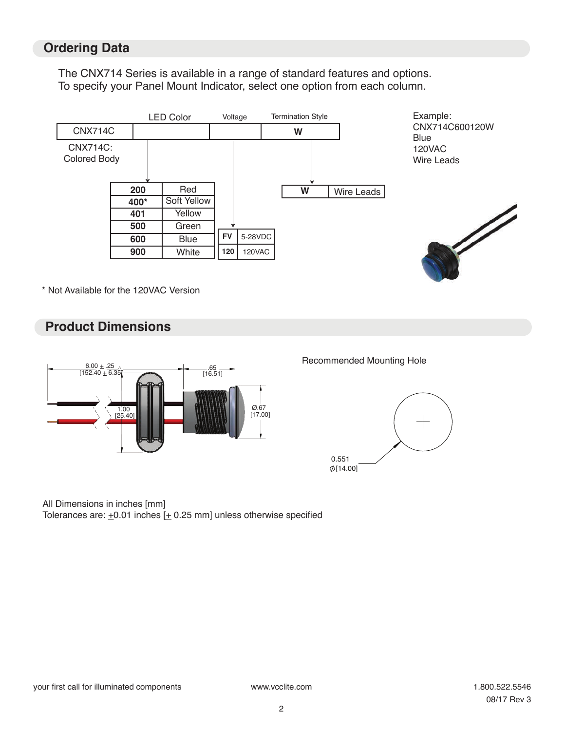## **Ordering Data**

The CNX714 Series is available in a range of standard features and options. To specify your Panel Mount Indicator, select one option from each column.



\* Not Available for the 120VAC Version

## **Product Dimensions**



#### Recommended Mounting Hole



#### All Dimensions in inches [mm]

Tolerances are:  $\pm 0.01$  inches  $[\pm 0.25$  mm] unless otherwise specified